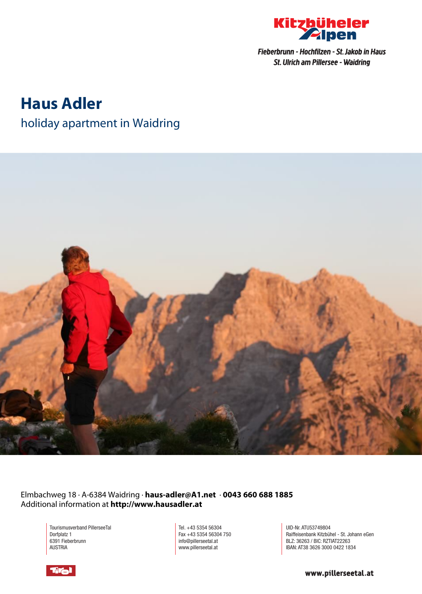

# **Haus Adler**

# holiday apartment in Waidring



Elmbachweg 18 · A-6384 Waidring · **haus-adler@A1.net** · **0043 660 688 1885** Additional information at **http://www.hausadler.at**

> Tourismusverband PillerseeTal Dorfplatz 1 6391 Fieberbrunn AUSTRIA

Tel. +43 5354 56304 Fax +43 5354 56304 750 info@pillerseetal.at www.pillerseetal.at

UID-Nr. ATU53749804 Raiffeisenbank Kitzbühel - St. Johann eGen BLZ: 36263 / BIC: RZTIAT22263 IBAN: AT38 3626 3000 0422 1834

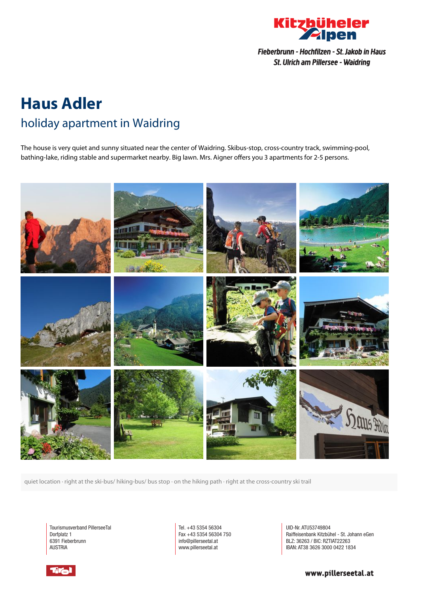

# **Haus Adler** holiday apartment in Waidring

The house is very quiet and sunny situated near the center of Waidring. Skibus-stop, cross-country track, swimming-pool, bathing-lake, riding stable and supermarket nearby. Big lawn. Mrs. Aigner offers you 3 apartments for 2-5 persons.



quiet location · right at the ski-bus/ hiking-bus/ bus stop · on the hiking path · right at the cross-country ski trail

Tourismusverband PillerseeTal Dorfplatz 1 6391 Fieberbrunn AUSTRIA

Tel. +43 5354 56304 Fax +43 5354 56304 750 info@pillerseetal.at www.pillerseetal.at

UID-Nr. ATU53749804 Raiffeisenbank Kitzbühel - St. Johann eGen BLZ: 36263 / BIC: RZTIAT22263 IBAN: AT38 3626 3000 0422 1834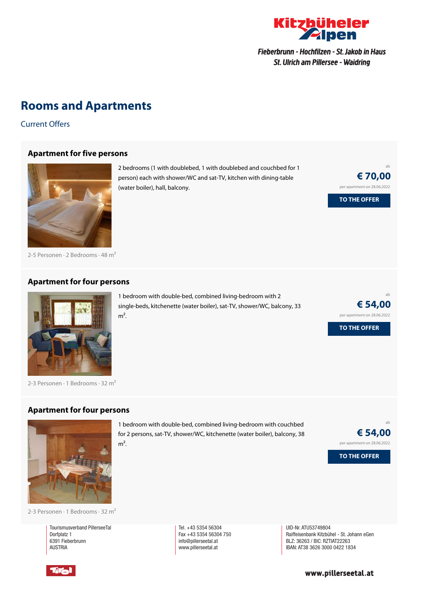

## **Rooms and Apartments**

Current Offers

#### **[Apartment](https://www.kitzbueheler-alpen.com/en/pital/accommodation/booking/haus-adler.html?utm_medium=PDF&utm_campaign=Vermieter-Prospekt&utm_source=Haus+Adler) for five persons**



2-5 Personen · 2 Bedrooms · 48 <sup>m</sup><sup>²</sup>

### **[Apartment](https://www.kitzbueheler-alpen.com/en/pital/accommodation/booking/haus-adler.html?utm_medium=PDF&utm_campaign=Vermieter-Prospekt&utm_source=Haus+Adler) for four persons**



2-3 Personen  $\cdot$  1 Bedrooms  $\cdot$  32 m<sup>2</sup>

#### **[Apartment](https://www.kitzbueheler-alpen.com/en/pital/accommodation/booking/haus-adler.html?utm_medium=PDF&utm_campaign=Vermieter-Prospekt&utm_source=Haus+Adler) for four persons**



for 2 persons, sat-TV, shower/WC, kitchenette (water boiler), balcony, 38  $m<sup>2</sup>$ .

1 bedroom with double-bed, combined living-bedroom with couchbed



2-3 Personen · 1 Bedrooms · 32 <sup>m</sup><sup>²</sup>

Tourismusverband PillerseeTal Dorfplatz 1 6391 Fieberbrunn AUSTRIA

Tel. +43 5354 56304 Fax +43 5354 56304 750 info@pillerseetal.at www.pillerseetal.at

UID-Nr. ATU53749804 Raiffeisenbank Kitzbühel - St. Johann eGen BLZ: 36263 / BIC: RZTIAT22263 IBAN: AT38 3626 3000 0422 1834

**TO THE OFFER**

ab

ab

**€ 70,00** per apartment on 28.06.2022

(water boiler), hall, balcony.

1 bedroom with double-bed, combined living-bedroom with 2 single-beds, kitchenette (water boiler), sat-TV, shower/WC, balcony, 33  $m<sup>2</sup>$ .

2 bedrooms (1 with doublebed, 1 with doublebed and couchbed for 1 person) each with shower/WC and sat-TV, kitchen with dining-table

> **€ 54,00** per apartment on 28.06.2022

**TO THE OFFER**